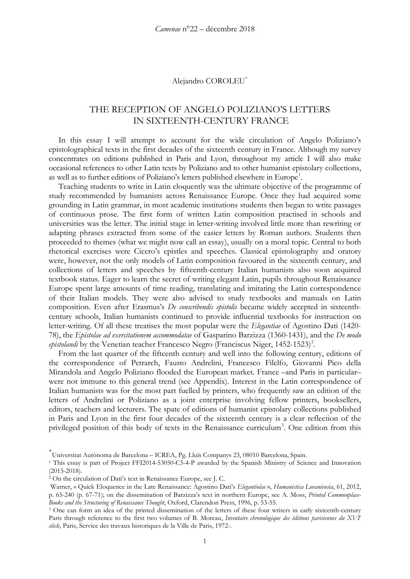#### Alejandro COROLEU[\\*](#page-0-0)

# THE RECEPTION OF ANGELO POLIZIANO'S LETTERS IN SIXTEENTH-CENTURY FRANCE

In this essay I will attempt to account for the wide circulation of Angelo Poliziano's epistolographical texts in the first decades of the sixteenth century in France. Although my survey concentrates on editions published in Paris and Lyon, throughout my article I will also make occasional references to other Latin texts by Poliziano and to other humanist epistolary collections, as well as to further editions of Poliziano's letters published elsewhere in Europe<sup>[1](#page-0-1)</sup>.

Teaching students to write in Latin eloquently was the ultimate objective of the programme of study recommended by humanists across Renaissance Europe. Once they had acquired some grounding in Latin grammar, in most academic institutions students then began to write passages of continuous prose. The first form of written Latin composition practised in schools and universities was the letter. The initial stage in letter-writing involved little more than rewriting or adapting phrases extracted from some of the easier letters by Roman authors. Students then proceeded to themes (what we might now call an essay), usually on a moral topic. Central to both rhetorical exercises were Cicero's epistles and speeches. Classical epistolography and oratory were, however, not the only models of Latin composition favoured in the sixteenth century, and collections of letters and speeches by fifteenth-century Italian humanists also soon acquired textbook status. Eager to learn the secret of writing elegant Latin, pupils throughout Renaissance Europe spent large amounts of time reading, translating and imitating the Latin correspondence of their Italian models. They were also advised to study textbooks and manuals on Latin composition. Even after Erasmus's *De conscribendis epistolis* became widely accepted in sixteenthcentury schools, Italian humanists continued to provide influential textbooks for instruction on letter-writing. Of all these treatises the most popular were the *Elegantiae* of Agostino Dati (1420- 78), the *Epistolae ad exercitationem accommodatae* of Gasparino Barzizza (1360-1431), and the *De modo*  epistolandi by the Venetian teacher Francesco Negro (Franciscus Niger, 145[2](#page-0-2)-1523)<sup>2</sup>.

From the last quarter of the fifteenth century and well into the following century, editions of the correspondence of Petrarch, Fausto Andrelini, Francesco Filelfo, Giovanni Pico della Mirandola and Angelo Poliziano flooded the European market. France –and Paris in particular– were not immune to this general trend (see Appendix). Interest in the Latin correspondence of Italian humanists was for the most part fuelled by printers, who frequently saw an edition of the letters of Andrelini or Poliziano as a joint enterprise involving fellow printers, booksellers, editors, teachers and lecturers. The spate of editions of humanist epistolary collections published in Paris and Lyon in the first four decades of the sixteenth century is a clear reflection of the privileged position of this body of texts in the Renaissance curriculum<sup>[3](#page-0-3)</sup>. One edition from this

<span id="page-0-0"></span><sup>\*</sup> Universitat Autònoma de Barcelona – ICREA, Pg. Lluís Companys 23, 08010 Barcelona, Spain.

<span id="page-0-1"></span><sup>1</sup> This essay is part of Project FFI2014-53050-C5-4-P awarded by the Spanish Ministry of Science and Innovation (2015-2018).

<span id="page-0-2"></span><sup>2</sup> On the circulation of Dati's text in Renaissance Europe, see J. C.

Warner, « Quick Eloquence in the Late Renaissance: Agostino Dati's *Elegantiolae* », *Humanistica Lovaniensia*, 61, 2012, p. 65-240 (p. 67-71); on the dissemination of Barzizza's text in northern Europe, see A. Moss, *Printed Commonplace-Books and the Structuring of Renaissance Thought*, Oxford, Clarendon Press, 1996, p. 53-55.

<span id="page-0-3"></span><sup>&</sup>lt;sup>3</sup> One can form an idea of the printed dissemination of the letters of these four writers in early sixteenth-century Paris through reference to the first two volumes of B. Moreau, *Inventaire chronologique des éditions parisiennes du XVIe siècle*, Paris, Service des travaux historiques de la Ville de Paris, 1972-.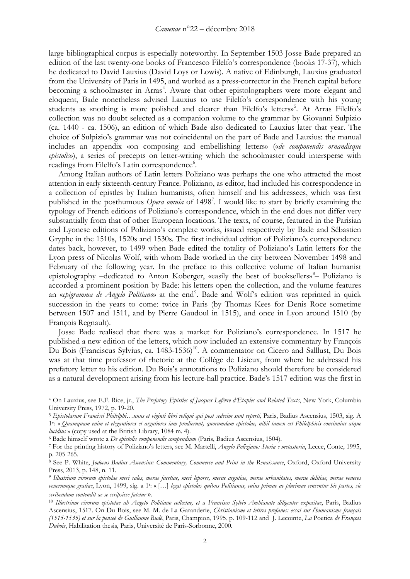large bibliographical corpus is especially noteworthy. In September 1503 Josse Bade prepared an edition of the last twenty-one books of Francesco Filelfo's correspondence (books 17-37), which he dedicated to David Lauxius (David Loys or Lowis). A native of Edinburgh, Lauxius graduated from the University of Paris in 1495, and worked as a press-corrector in the French capital before becoming a schoolmaster in Arras<sup>[4](#page-1-0)</sup>. Aware that other epistolographers were more elegant and eloquent, Bade nonetheless advised Lauxius to use Filelfo's correspondence with his young students as «nothing is more polished and clearer than Filelfo's letters» [5](#page-1-1) . At Arras Filelfo's collection was no doubt selected as a companion volume to the grammar by Giovanni Sulpizio (ca. 1440 - ca. 1506), an edition of which Bade also dedicated to Lauxius later that year. The choice of Sulpizio's grammar was not coincidental on the part of Bade and Lauxius: the manual includes an appendix «on composing and embellishing letters» («*de componendis ornandisque epistolis*»), a series of precepts on letter-writing which the schoolmaster could intersperse with readings from Filelfo's Latin correspondence<sup>[6](#page-1-2)</sup>.

Among Italian authors of Latin letters Poliziano was perhaps the one who attracted the most attention in early sixteenth-century France. Poliziano, as editor, had included his correspondence in a collection of epistles by Italian humanists, often himself and his addressees, which was first published in the posthumous *Opera omnia* of 1498[7](#page-1-3) . I would like to start by briefly examining the typology of French editions of Poliziano's correspondence, which in the end does not differ very substantially from that of other European locations. The texts, of course, featured in the Parisian and Lyonese editions of Poliziano's complete works, issued respectively by Bade and Sébastien Gryphe in the 1510s, 1520s and 1530s. The first individual edition of Poliziano's correspondence dates back, however, to 1499 when Bade edited the totality of Poliziano's Latin letters for the Lyon press of Nicolas Wolf, with whom Bade worked in the city between November 1498 and February of the following year. In the preface to this collective volume of Italian humanist epistolography -dedicated to Anton Koberger, «easily the best of booksellers»<sup>[8](#page-1-4)</sup>- Poliziano is accorded a prominent position by Bade: his letters open the collection, and the volume features an «epigramma de Angelo Politiano» at the end<sup>[9](#page-1-5)</sup>. Bade and Wolf's edition was reprinted in quick succession in the years to come: twice in Paris (by Thomas Kees for Denis Roce sometime between 1507 and 1511, and by Pierre Gaudoul in 1515), and once in Lyon around 1510 (by François Regnault).

Josse Bade realised that there was a market for Poliziano's correspondence. In 1517 he published a new edition of the letters, which now included an extensive commentary by François Du Bois (Franciscus Sylvius, ca. 1483-1536)<sup>10</sup>. A commentator on Cicero and Salllust, Du Bois was at that time professor of rhetoric at the Collège de Lisieux, from where he addressed his prefatory letter to his edition. Du Bois's annotations to Poliziano should therefore be considered as a natural development arising from his lecture-hall practice. Bade's 1517 edition was the first in

<span id="page-1-2"></span>

<span id="page-1-0"></span><sup>4</sup> On Lauxius, see E.F. Rice, jr., *The Prefatory Epistles of Jacques Lefèvre d'Etaples and Related Texts*, New York, Columbia University Press, 1972, p. 19-20.

<span id="page-1-1"></span><sup>5</sup> *Epistolarum Francisci Philelphi…unus et viginti libri reliqui qui post sedecim sunt reperti,* Paris, Badius Ascensius, 1503, sig. A 1v: « *Quamquam enim et elegantiores et argutiores iam prodierunt, quorumdam epistolae, nihil tamen est Philelphicis concinnius atque lucidius* » (copy used at the British Library, 1084 m. 4).<br><sup>6</sup> Bade himself wrote a *De epistolis componendis compendium* (Paris, Badius Ascensius, 1504).<br><sup>7</sup> For the printing history of Poliziano's letters, see M. Martel

<span id="page-1-3"></span>p. 205-265.<br><sup>8</sup> See P. White, *Jodocus Badius Ascensius: Commentary, Commerce and Print in the Renaissance*, Oxford, Oxford University

<span id="page-1-4"></span>Press, 2013, p. 148, n. 11.

<span id="page-1-5"></span><sup>9</sup> *Illustrium virorum epistolae meri sales, merae facetiae, meri lepores, merae argutiae, merae urbanitates, merae delitiae, merae veneres venerumque gratiae*, Lyon, 1499, sig. a 1r : « […] *legat epistolas quibus Politianus, cuius primae ac plurimae censentur hic partes, sic scribendum contendit ac se scripsisse fatetur* ».

<span id="page-1-6"></span><sup>10</sup> *Illustrium virorum epistolae ab Angelo Politiano collectae, et a Francisco Sylvio Ambianate diligenter expositae*, Paris, Badius Ascensius, 1517. On Du Bois, see M.-M. de La Garanderie, *Christianisme et lettres profanes: essai sur l'humanisme français (1515-1535) et sur la penseé de Guillaume Budé*, Paris, Champion, 1995, p. 109-112 and J. Lecointe, *La* Poetica *de François Dubois*, Habilitation thesis, Paris, Université de Paris-Sorbonne, 2000.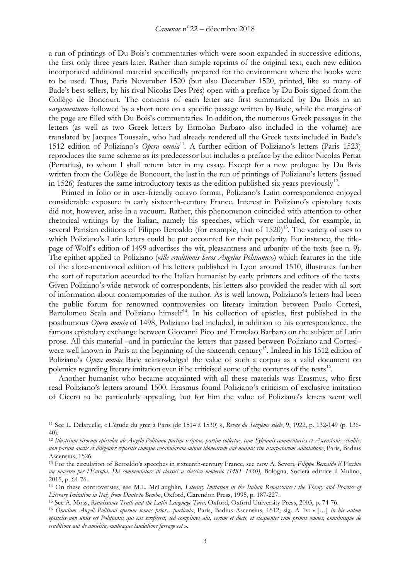a run of printings of Du Bois's commentaries which were soon expanded in successive editions, the first only three years later. Rather than simple reprints of the original text, each new edition incorporated additional material specifically prepared for the environment where the books were to be used. Thus, Paris November 1520 (but also December 1520, printed, like so many of Bade's best-sellers, by his rival Nicolas Des Prés) open with a preface by Du Bois signed from the Collège de Boncourt. The contents of each letter are first summarized by Du Bois in an «*argumentum*» followed by a short note on a specific passage written by Bade, while the margins of the page are filled with Du Bois's commentaries. In addition, the numerous Greek passages in the letters (as well as two Greek letters by Ermolao Barbaro also included in the volume) are translated by Jacques Toussain, who had already rendered all the Greek texts included in Bade's 1512 edition of Poliziano's *Opera omnia*[11.](#page-2-0) A further edition of Poliziano's letters (Paris 1523) reproduces the same scheme as its predecessor but includes a preface by the editor Nicolas Pertat (Pertatius), to whom I shall return later in my essay. Except for a new prologue by Du Bois written from the Collège de Boncourt, the last in the run of printings of Poliziano's letters (issued in 1526) features the same introductory texts as the edition published six years previously<sup>12</sup>.

Printed in folio or in user-friendly octavo format, Poliziano's Latin correspondence enjoyed considerable exposure in early sixteenth-century France. Interest in Poliziano's epistolary texts did not, however, arise in a vacuum. Rather, this phenomenon coincided with attention to other rhetorical writings by the Italian, namely his speeches, which were included, for example, in several Parisian editions of Filippo Beroaldo (for example, that of  $1520$ )<sup>13</sup>. The variety of uses to which Poliziano's Latin letters could be put accounted for their popularity. For instance, the titlepage of Wolf's edition of 1499 advertises the wit, pleasantness and urbanity of the texts (see n. 9). The epithet applied to Poliziano («*ille eruditionis heros Angelus Politianus*») which features in the title of the afore-mentioned edition of his letters published in Lyon around 1510, illustrates further the sort of reputation accorded to the Italian humanist by early printers and editors of the texts*.* Given Poliziano's wide network of correspondents, his letters also provided the reader with all sort of information about contemporaries of the author. As is well known, Poliziano's letters had been the public forum for renowned controversies on literary imitation between Paolo Cortesi, Bartolomeo Scala and Poliziano himself $14$ . In his collection of epistles, first published in the posthumous *Opera omnia* of 1498, Poliziano had included, in addition to his correspondence, the famous epistolary exchange between Giovanni Pico and Ermolao Barbaro on the subject of Latin prose. All this material –and in particular the letters that passed between Poliziano and Cortesi– were well known in Paris at the beginning of the sixteenth century<sup>[15](#page-2-4)</sup>. Indeed in his 1512 edition of Poliziano's *Opera omnia* Bade acknowledged the value of such a corpus as a valid document on polemics regarding literary imitation even if he criticised some of the contents of the texts<sup>[16](#page-2-5)</sup>.

Another humanist who became acquainted with all these materials was Erasmus, who first read Poliziano's letters around 1500. Erasmus found Poliziano's criticism of exclusive imitation of Cicero to be particularly appealing, but for him the value of Poliziano's letters went well

<span id="page-2-0"></span><sup>11</sup> See L. Delaruelle, « L'étude du grec à Paris (de 1514 à 1530) », *Revue du Seizième siècle*, 9, 1922, p. 132-149 (p. 136- 40).

<span id="page-2-1"></span><sup>12</sup> *Illustrium virorum epistolae ab Angelo Politiano partim scriptae, partim collectae, cum Sylvianis commentaries et Ascensianis scholiis, non parum auctis et diligenter repositis cumque vocabularum minus idonearum aut muinus rite usurpatarum adnotatione*, Paris, Badius Ascensius, 1526.

<span id="page-2-2"></span><sup>13</sup> For the circulation of Beroaldo's speeches in sixteenth-century France, see now A. Severi, *Filippo Beroaldo il Vecchio un maestro per l'Europa. Da commentatore di classici a classico moderno (1481–1550)*, Bologna, Società editrice il Mulino, 2015, p. 64-76.

<span id="page-2-3"></span><sup>14</sup> On these controversies, see M.L. McLaughlin*, Literary Imitation in the Italian Renaissance : the Theory and Practice of Literary Imitation in Italy from Dante to Bembo*, Oxford, Clarendon Press, 1995, p. 187-227.

<span id="page-2-4"></span><sup>&</sup>lt;sup>15</sup> See A. Moss, Renaissance Truth and the Latin Language Turn, Oxford, Oxford University Press, 2003, p. 74-76.<br><sup>16</sup> Omnium *Angeli Politiani operum tomus prior...particula*, Paris, Badius Ascensius, 1512, sig. A 1v: «[.

<span id="page-2-5"></span>*epistolis non unus est Politianus qui eas scripserit, sed complures alii, verum et docti, et eloquentes cum primis omnes, omnibusque de eruditione aut de amicitia, mutuaque laudatione farrago est* ».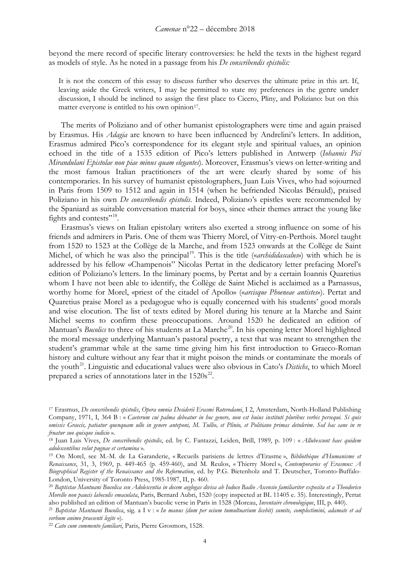beyond the mere record of specific literary controversies: he held the texts in the highest regard as models of style. As he noted in a passage from his *De conscribendis epistolis:*

It is not the concern of this essay to discuss further who deserves the ultimate prize in this art. If, leaving aside the Greek writers, I may be permitted to state my preferences in the genre under discussion, I should be inclined to assign the first place to Cicero, Pliny, and Poliziano: but on this matter everyone is entitled to his own opinion<sup>[17](#page-3-0)</sup>.

The merits of Poliziano and of other humanist epistolographers were time and again praised by Erasmus. His *Adagia* are known to have been influenced by Andrelini's letters. In addition, Erasmus admired Pico's correspondence for its elegant style and spiritual values, an opinion echoed in the title of a 1535 edition of Pico's letters published in Antwerp (*Iohannis Pici Mirandulani Epistolae non piae minus quam elegantes*). Moreover, Erasmus's views on letter-writing and the most famous Italian practitioners of the art were clearly shared by some of his contemporaries. In his survey of humanist epistolographers, Juan Luis Vives, who had sojourned in Paris from 1509 to 1512 and again in 1514 (when he befriended Nicolas Bérauld), praised Poliziano in his own *De conscribendis epistolis*. Indeed, Poliziano's epistles were recommended by the Spaniard as suitable conversation material for boys, since «their themes attract the young like fights and contests"<sup>[18](#page-3-1)</sup>.

Erasmus's views on Italian epistolary writers also exerted a strong influence on some of his friends and admirers in Paris. One of them was Thierry Morel, of Vitry-en-Perthois. Morel taught from 1520 to 1523 at the Collège de la Marche, and from 1523 onwards at the Collège de Saint Michel, of which he was also the principal<sup>19</sup>. This is the title («*archididascalus*») with which he is addressed by his fellow «Champenois" Nicolas Pertat in the dedicatory letter prefacing Morel's edition of Poliziano's letters. In the liminary poems, by Pertat and by a certain Ioannis Quaretius whom I have not been able to identify, the Collège de Saint Michel is acclaimed as a Parnassus, worthy home for Morel, «priest of the citadel of Apollo» («*arcisque Phoeneae antistes*»). Pertat and Quaretius praise Morel as a pedagogue who is equally concerned with his students' good morals and wise elocution. The list of texts edited by Morel during his tenure at la Marche and Saint Michel seems to confirm these preoccupations. Around 1520 he dedicated an edition of Mantuan's *Bucolics* to three of his students at La Marche<sup>[20](#page-3-3)</sup>. In his opening letter Morel highlighted the moral message underlying Mantuan's pastoral poetry, a text that was meant to strengthen the student's grammar while at the same time giving him his first introduction to Graeco-Roman history and culture without any fear that it might poison the minds or contaminate the morals of the youth<sup>[21](#page-3-4)</sup>. Linguistic and educational values were also obvious in Cato's *Distichs*, to which Morel prepared a series of annotations later in the  $1520s^{22}$  $1520s^{22}$  $1520s^{22}$ .

<span id="page-3-0"></span><sup>17</sup> Erasmus, *De conscribendis epistolis*, *Opera omnia Desiderii Erasmi Roterodami*, I 2, Amsterdam, North-Holland Publishing Company, 1971, I, 364 B : « *Caeterum cui palma debeatur in hoc genere, non est huius instituti pluribus verbis persequi. Si quis omissis Graecis, patiatur quenquam ullo in genere anteponi, M. Tullio, et Plinio, et Politiano primas detulerim. Sed hac sane in re fruatur suo quisque iudicio* ».

<span id="page-3-1"></span><sup>18</sup> Juan Luis Vives, *De conscribendis epistolis*, ed. by C. Fantazzi, Leiden, Brill, 1989, p. 109 : « *Allubescunt haec quidem adolescentibus velut pugnae et certamina* ».

<span id="page-3-2"></span><sup>19</sup> On Morel, see M.-M. de La Garanderie, « Recueils parisiens de lettres d'Erasme », *Bibliothèque d'Humanisme et Renaissance*, 31, 3, 1969, p. 449-465 (p. 459-460), and M. Reulos, « Thierry Morel », *Contemporaries of Erasmus: A Biographical Register of the Renaissance and the Reformation*, ed. by P.G. Bietenholz and T. Deutscher, Toronto-Buffalo-London, University of Toronto Press, 1985-1987, II, p. 460.

<span id="page-3-3"></span><sup>20</sup> *Baptistae Mantuani Bucolica seu Adolescentia in decem aeglogas divisa ab Iodoco Badio Ascensio familiariter exposita et a Theodorico Morello non paucis labeculis emaculata*, Paris, Bernard Aubri, 1520 (copy inspected at BL 11405 e. 35). Interestingly, Pertat also published an edition of Mantuan's bucolic verse in Paris in 1528 (Moreau, *Inventaire chronologique*, III, p. 440).

<span id="page-3-4"></span><sup>21</sup> *Baptistae Mantuani Bucolica*, sig. a I v : « *In manus (dum per ocium tumultuarium licebit) sumite, complectimini, adamate et ad verbum animo praesenti legite* »).

<span id="page-3-5"></span><sup>22</sup> *Cato cum commento familiari*, Paris, Pierre Grosmors, 1528.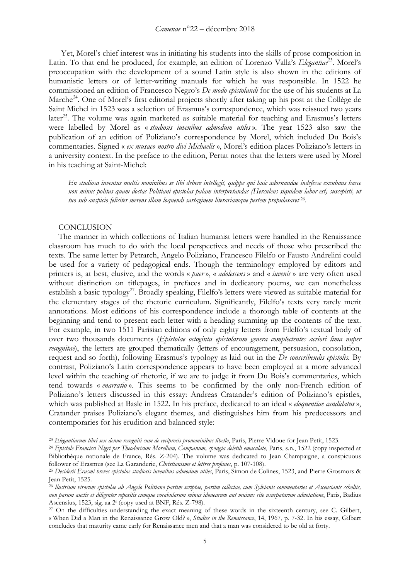Yet, Morel's chief interest was in initiating his students into the skills of prose composition in Latin. To that end he produced, for example, an edition of Lorenzo Valla's *Elegantiae*<sup>23</sup>. Morel's preoccupation with the development of a sound Latin style is also shown in the editions of humanistic letters or of letter-writing manuals for which he was responsible. In 1522 he commissioned an edition of Francesco Negro's *De modo epistolandi* for the use of his students at La Marche<sup>24</sup>. One of Morel's first editorial projects shortly after taking up his post at the Collège de Saint Michel in 1523 was a selection of Erasmus's correspondence, which was reissued two years later<sup>25</sup>. The volume was again marketed as suitable material for teaching and Erasmus's letters were labelled by Morel as « *studiosis iuvenibus admodum utiles* ». The year 1523 also saw the publication of an edition of Poliziano's correspondence by Morel, which included Du Bois's commentaries. Signed « *ex musaeo nostro divi Michaelis* », Morel's edition places Poliziano's letters in a university context. In the preface to the edition, Pertat notes that the letters were used by Morel in his teaching at Saint-Michel:

*En studiosa iuventus multis nominibus se tibi debere intellegit, quippe qui huic adornandae indefesse excubans hasce non minus politas quam doctas Politiani epistolas palam interpretandas (Herculeus siquidem labor est) suscepisti, ut tuo sub auspicio feliciter merens illam loquendi sartaginem literariamque pestem propulasaret* [26.](#page-4-3)

#### **CONCLUSION**

The manner in which collections of Italian humanist letters were handled in the Renaissance classroom has much to do with the local perspectives and needs of those who prescribed the texts. The same letter by Petrarch, Angelo Poliziano, Francesco Filelfo or Fausto Andrelini could be used for a variety of pedagogical ends. Though the terminology employed by editors and printers is, at best, elusive, and the words « *puer* », « *adolescens* » and « *iuvenis* » are very often used without distinction on titlepages, in prefaces and in dedicatory poems, we can nonetheless establish a basic typology<sup>[27](#page-4-4)</sup>. Broadly speaking, Filelfo's letters were viewed as suitable material for the elementary stages of the rhetoric curriculum. Significantly, Filelfo's texts very rarely merit annotations. Most editions of his correspondence include a thorough table of contents at the beginning and tend to present each letter with a heading summing up the contents of the text. For example, in two 1511 Parisian editions of only eighty letters from Filelfo's textual body of over two thousands documents (*Epistolae octoginta epistolarum genera complectentes acriori lima nuper recognitae*), the letters are grouped thematically (letters of encouragement, persuasion, consolation, request and so forth), following Erasmus's typology as laid out in the *De conscribendis epistolis.* By contrast, Poliziano's Latin correspondence appears to have been employed at a more advanced level within the teaching of rhetoric, if we are to judge it from Du Bois's commentaries, which tend towards « *enarratio* ». This seems to be confirmed by the only non-French edition of Poliziano's letters discussed in this essay: Andreas Cratander's edition of Poliziano's epistles, which was published at Basle in 1522. In his preface, dedicated to an ideal « *eloquentiae candidatus* », Cratander praises Poliziano's elegant themes, and distinguishes him from his predecessors and contemporaries for his erudition and balanced style:

<span id="page-4-0"></span><sup>&</sup>lt;sup>23</sup> Elegantiarum libri sex denuo recogniti cum de reciprocis pronominibus libello, Paris, Pierre Vidoue for Jean Petit, 1523.

<span id="page-4-1"></span><sup>&</sup>lt;sup>24</sup> *Epistole Francisci Nigri per Theodoricum Morellum, Campanum, spongia deletili emaculate*, Paris, s.n., 1522 (copy inspected at Bibliothèque nationale de France, Rés. Z-204). The volume was dedicated to Jean Champaigne, a conspicuous follower of Erasmus (see La Garanderie, *Christianisme et lettres profanes*, p. 107-108).

<span id="page-4-2"></span><sup>25</sup> *Desiderii Erasmi breves epistolae studiosis iuvenibus admodum utiles*, Paris, Simon de Colines, 1523, and Pierre Grosmors & Jean Petit, 1525.

<span id="page-4-3"></span><sup>26</sup> *llustrium virorum epistolae ab Angelo Politiano partim scriptae, partim collectae, cum Sylvianis commentaries et Ascensianis scholiis, non parum auctis et diligenter repositis cumque vocabularum minus idonearum aut muinus rite usurpatarum adnotatione*, Paris, Badius Ascensius, 1523, sig. aa 2r (copy used at BNF, Rés. Z-798).

<span id="page-4-4"></span><sup>&</sup>lt;sup>27</sup> On the difficulties understanding the exact meaning of these words in the sixteenth century, see C. Gilbert, « When Did a Man in the Renaissance Grow Old? », *Studies in the Renaissance*, 14, 1967, p. 7-32. In his essay, Gilbert concludes that maturity came early for Renaissance men and that a man was considered to be old at forty.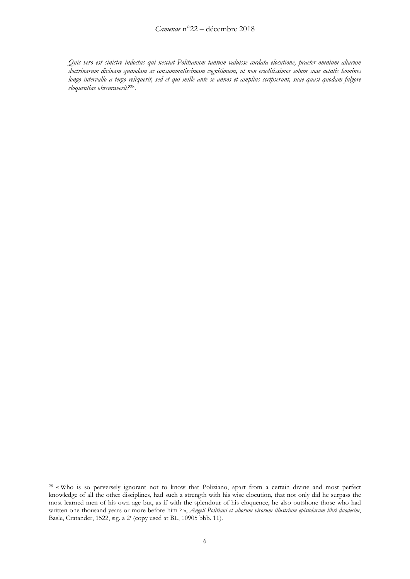*Quis vero est sinistre indoctus qui nesciat Politianum tantum valuisse cordata elocutione, praeter omnium aliarum doctrinarum divinam quandam ac consummatissimam cognitionem, ut non eruditissimos solum suae aetatis homines longo intervallo a tergo reliquerit, sed et qui mille ante se annos et amplius scripserunt, suae quasi quodam fulgore eloquentiae obscuraverit?*[28](#page-5-0).

<span id="page-5-0"></span><sup>28</sup> « Who is so perversely ignorant not to know that Poliziano, apart from a certain divine and most perfect knowledge of all the other disciplines, had such a strength with his wise elocution, that not only did he surpass the most learned men of his own age but, as if with the splendour of his eloquence, he also outshone those who had written one thousand years or more before him ? », *Angeli Politiani et aliorum virorum illustrium epistolarum libri duodecim*, Basle, Cratander, 1522, sig. a 2r (copy used at BL, 10905 bbb. 11).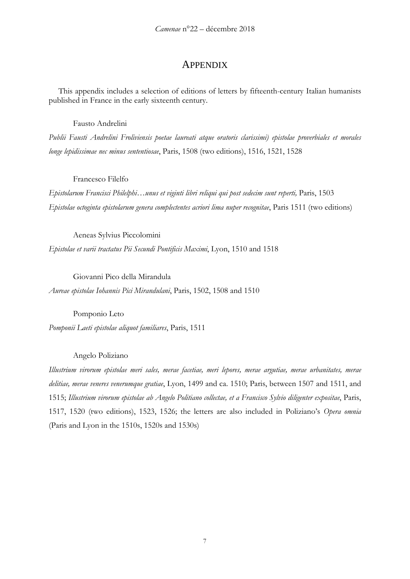# **APPENDIX**

This appendix includes a selection of editions of letters by fifteenth-century Italian humanists published in France in the early sixteenth century.

Fausto Andrelini

*Publii Fausti Andrelini Froliviensis poetae laureati atque oratoris clarissimi) epistolae proverbiales et morales longe lepidissimae nec minus sententiosae*, Paris, 1508 (two editions), 1516, 1521, 1528

Francesco Filelfo

*Epistolarum Francisci Philelphi…unus et viginti libri reliqui qui post sedecim sunt reperti,* Paris, 1503 *Epistolae octoginta epistolarum genera complectentes acriori lima nuper recognitae*, Paris 1511 (two editions)

Aeneas Sylvius Piccolomini

*Epistolae et varii tractatus Pii Secundi Pontificis Maximi*, Lyon, 1510 and 1518

Giovanni Pico della Mirandula *Aureae epistolae Iohannis Pici Mirandulani*, Paris, 1502, 1508 and 1510

Pomponio Leto *Pomponii Laeti epistolae aliquot familiares*, Paris, 1511

Angelo Poliziano

*Illustrium virorum epistolae meri sales, merae facetiae, meri lepores, merae argutiae, merae urbanitates, merae delitiae, merae veneres venerumque gratiae*, Lyon, 1499 and ca. 1510; Paris, between 1507 and 1511, and 1515; *Illustrium virorum epistolae ab Angelo Politiano collectae, et a Francisco Sylvio diligenter expositae*, Paris, 1517, 1520 (two editions), 1523, 1526; the letters are also included in Poliziano's *Opera omnia*  (Paris and Lyon in the 1510s, 1520s and 1530s)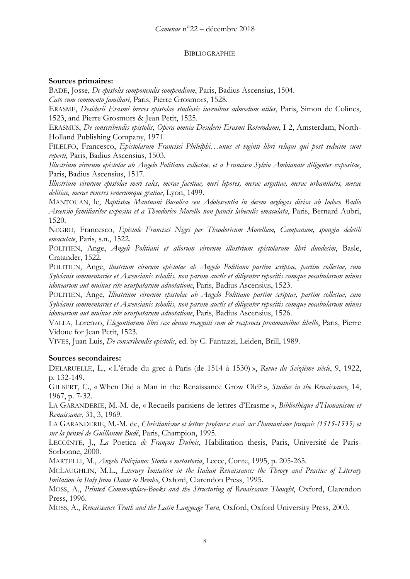### BIBLIOGRAPHIE

## **Sources primaires:**

BADE, Josse, *De epistolis componendis compendium*, Paris, Badius Ascensius, 1504. *Cato cum commento familiari*, Paris, Pierre Grosmors, 1528.

ERASME, *Desiderii Erasmi breves epistolae studiosis iuvenibus admodum utiles*, Paris, Simon de Colines, 1523, and Pierre Grosmors & Jean Petit, 1525.

ERASMUS, *De conscribendis epistolis*, *Opera omnia Desiderii Erasmi Roterodami*, I 2, Amsterdam, North-Holland Publishing Company, 1971.

FILELFO, Francesco, *Epistolarum Francisci Philelphi…unus et viginti libri reliqui qui post sedecim sunt reperti,* Paris, Badius Ascensius, 1503.

*Illustrium virorum epistolae ab Angelo Politiano collectae, et a Francisco Sylvio Ambianate diligenter expositae*, Paris, Badius Ascensius, 1517.

*Illustrium virorum epistolae meri sales, merae facetiae, meri lepores, merae argutiae, merae urbanitates, merae delitiae, merae veneres venerumque gratiae*, Lyon, 1499.

MANTOUAN, le, *Baptistae Mantuani Bucolica seu Adolescentia in decem aeglogas divisa ab Iodoco Badio Ascensio familiariter exposita et a Theodorico Morello non paucis labeculis emaculata*, Paris, Bernard Aubri, 1520.

NEGRO, Francesco, *Epistole Francisci Nigri per Theodoricum Morellum, Campanum, spongia deletili emaculate*, Paris, s.n., 1522.

POLITIEN, Ange, *Angeli Politiani et aliorum virorum illustrium epistolarum libri duodecim*, Basle, Cratander, 1522.

POLITIEN, Ange, *llustrium virorum epistolae ab Angelo Politiano partim scriptae, partim collectae, cum Sylvianis commentaries et Ascensianis scholiis, non parum auctis et diligenter repositis cumque vocabularum minus idonearum aut muinus rite usurpatarum adnotatione*, Paris, Badius Ascensius, 1523.

POLITIEN, Ange, *Illustrium virorum epistolae ab Angelo Politiano partim scriptae, partim collectae, cum Sylvianis commentaries et Ascensianis scholiis, non parum auctis et diligenter repositis cumque vocabularum minus idonearum aut muinus rite usurpatarum adnotatione*, Paris, Badius Ascensius, 1526.

VALLA, Lorenzo, *Elegantiarum libri sex denuo recogniti cum de reciprocis pronominibus libello*, Paris, Pierre Vidoue for Jean Petit, 1523.

VIVES, Juan Luis, *De conscribendis epistolis*, ed. by C. Fantazzi, Leiden, Brill, 1989.

### **Sources secondaires:**

DELARUELLE, L., « L'étude du grec à Paris (de 1514 à 1530) », *Revue du Seizième siècle*, 9, 1922, p. 132-149.

GILBERT, C., « When Did a Man in the Renaissance Grow Old? », *Studies in the Renaissance*, 14, 1967, p. 7-32.

LA GARANDERIE, M.-M. de, « Recueils parisiens de lettres d'Erasme », *Bibliothèque d'Humanisme et Renaissance*, 31, 3, 1969.

LA GARANDERIE, M.-M. de, *Christianisme et lettres profanes: essai sur l'humanisme français (1515-1535) et sur la penseé de Guillaume Budé*, Paris, Champion, 1995.

LECOINTE, J., *La* Poetica *de François Dubois*, Habilitation thesis, Paris, Université de Paris-Sorbonne, 2000.

MARTELLI, M., *Angelo Poliziano: Storia e metastoria*, Lecce, Conte, 1995, p. 205-265.

MCLAUGHLIN*,* M.L., *Literary Imitation in the Italian Renaissance: the Theory and Practice of Literary Imitation in Italy from Dante to Bembo*, Oxford, Clarendon Press, 1995.

MOSS, A., *Printed Commonplace-Books and the Structuring of Renaissance Thought*, Oxford, Clarendon Press, 1996.

MOSS, A., *Renaissance Truth and the Latin Language Turn*, Oxford, Oxford University Press, 2003.